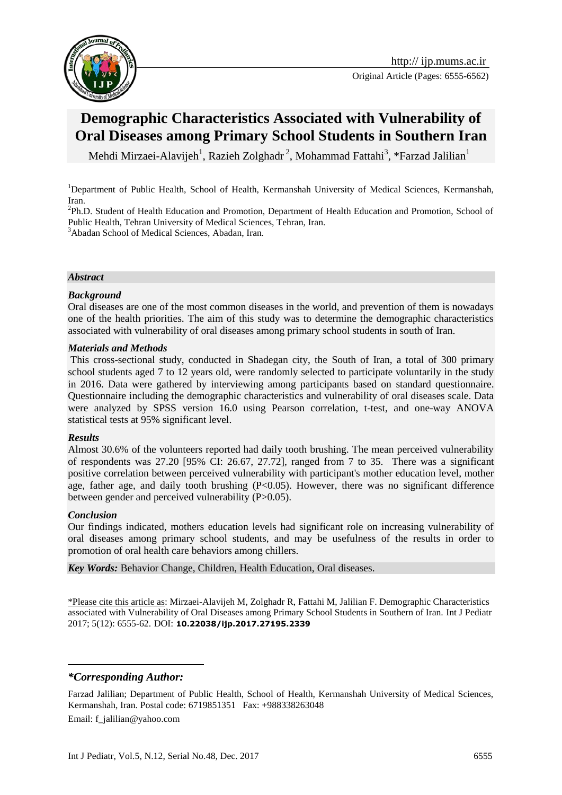

# **Demographic Characteristics Associated with Vulnerability of Oral Diseases among Primary School Students in Southern Iran**

Mehdi Mirzaei-Alavijeh<sup>1</sup>, Razieh Zolghadr<sup>2</sup>, Mohammad Fattahi<sup>3</sup>, \*Farzad Jalilian<sup>1</sup>

<sup>1</sup>Department of Public Health, School of Health, Kermanshah University of Medical Sciences, Kermanshah, Iran.

<sup>2</sup>Ph.D. Student of Health Education and Promotion, Department of Health Education and Promotion, School of Public Health, Tehran University of Medical Sciences, Tehran, Iran.

<sup>3</sup>Abadan School of Medical Sciences, Abadan, Iran.

#### *Abstract*

#### *Background*

Oral diseases are one of the most common diseases in the world, and prevention of them is nowadays one of the health priorities. The aim of this study was to determine the demographic characteristics associated with vulnerability of oral diseases among primary school students in south of Iran.

#### *Materials and Methods*

This cross-sectional study, conducted in Shadegan city, the South of Iran, a total of 300 primary school students aged 7 to 12 years old, were randomly selected to participate voluntarily in the study in 2016. Data were gathered by interviewing among participants based on standard questionnaire. Questionnaire including the demographic characteristics and vulnerability of oral diseases scale. Data were analyzed by SPSS version 16.0 using Pearson correlation, t-test, and one-way ANOVA statistical tests at 95% significant level.

#### *Results*

Almost 30.6% of the volunteers reported had daily tooth brushing. The mean perceived vulnerability of respondents was 27.20 [95% CI: 26.67, 27.72], ranged from 7 to 35. There was a significant positive correlation between perceived vulnerability with participant's mother education level, mother age, father age, and daily tooth brushing (P<0.05). However, there was no significant difference between gender and perceived vulnerability (P>0.05).

#### *Conclusion*

1

Our findings indicated, mothers education levels had significant role on increasing vulnerability of oral diseases among primary school students, and may be usefulness of the results in order to promotion of oral health care behaviors among chillers.

*Key Words:* Behavior Change, Children, Health Education, Oral diseases.

\*Please cite this article as: Mirzaei-Alavijeh M, Zolghadr R, Fattahi M, Jalilian F. Demographic Characteristics associated with Vulnerability of Oral Diseases among Primary School Students in Southern of Iran. Int J Pediatr 2017; 5(12): 6555-62. DOI: **10.22038/ijp.2017.27195.2339**

#### *\*Corresponding Author:*

Farzad Jalilian; Department of Public Health, School of Health, Kermanshah University of Medical Sciences, Kermanshah, Iran. Postal code: 6719851351 Fax: +988338263048

Email: f\_jalilian@yahoo.com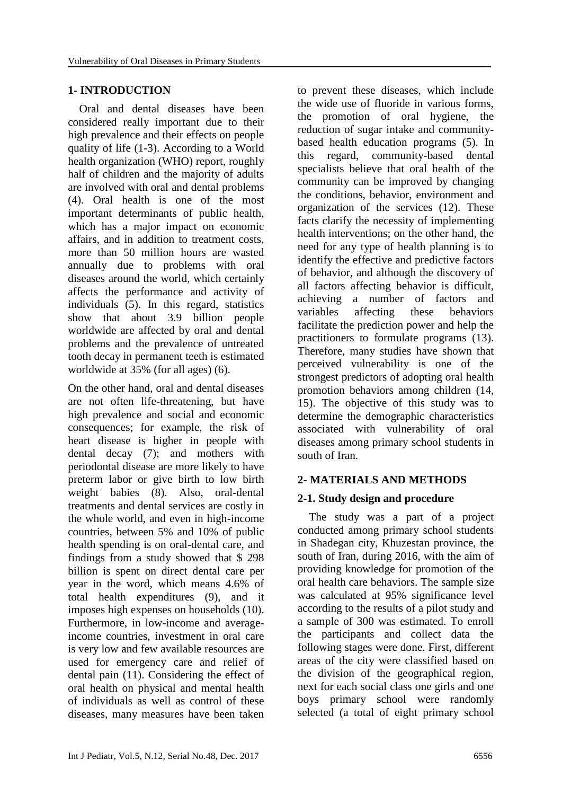#### **1- INTRODUCTION**

 Oral and dental diseases have been considered really important due to their high prevalence and their effects on people quality of life (1-3). According to a World health organization (WHO) report, roughly half of children and the majority of adults are involved with oral and dental problems (4). Oral health is one of the most important determinants of public health, which has a major impact on economic affairs, and in addition to treatment costs, more than 50 million hours are wasted annually due to problems with oral diseases around the world, which certainly affects the performance and activity of individuals (5). In this regard, statistics show that about 3.9 billion people worldwide are affected by oral and dental problems and the prevalence of untreated tooth decay in permanent teeth is estimated worldwide at 35% (for all ages) (6).

On the other hand, oral and dental diseases are not often life-threatening, but have high prevalence and social and economic consequences; for example, the risk of heart disease is higher in people with dental decay (7); and mothers with periodontal disease are more likely to have preterm labor or give birth to low birth weight babies (8). Also, oral-dental treatments and dental services are costly in the whole world, and even in high-income countries, between 5% and 10% of public health spending is on oral-dental care, and findings from a study showed that \$ 298 billion is spent on direct dental care per year in the word, which means 4.6% of total health expenditures (9), and it imposes high expenses on households (10). Furthermore, in low-income and averageincome countries, investment in oral care is very low and few available resources are used for emergency care and relief of dental pain (11). Considering the effect of oral health on physical and mental health of individuals as well as control of these diseases, many measures have been taken

to prevent these diseases, which include the wide use of fluoride in various forms, the promotion of oral hygiene, the reduction of sugar intake and communitybased health education programs (5). In this regard, community-based dental specialists believe that oral health of the community can be improved by changing the conditions, behavior, environment and organization of the services (12). These facts clarify the necessity of implementing health interventions; on the other hand, the need for any type of health planning is to identify the effective and predictive factors of behavior, and although the discovery of all factors affecting behavior is difficult, achieving a number of factors and variables affecting these behaviors facilitate the prediction power and help the practitioners to formulate programs (13). Therefore, many studies have shown that perceived vulnerability is one of the strongest predictors of adopting oral health promotion behaviors among children (14, 15). The objective of this study was to determine the demographic characteristics associated with vulnerability of oral diseases among primary school students in south of Iran.

#### **2- MATERIALS AND METHODS**

#### **2-1. Study design and procedure**

 The study was a part of a project conducted among primary school students in Shadegan city, Khuzestan province, the south of Iran, during 2016, with the aim of providing knowledge for promotion of the oral health care behaviors. The sample size was calculated at 95% significance level according to the results of a pilot study and a sample of 300 was estimated. To enroll the participants and collect data the following stages were done. First, different areas of the city were classified based on the division of the geographical region, next for each social class one girls and one boys primary school were randomly selected (a total of eight primary school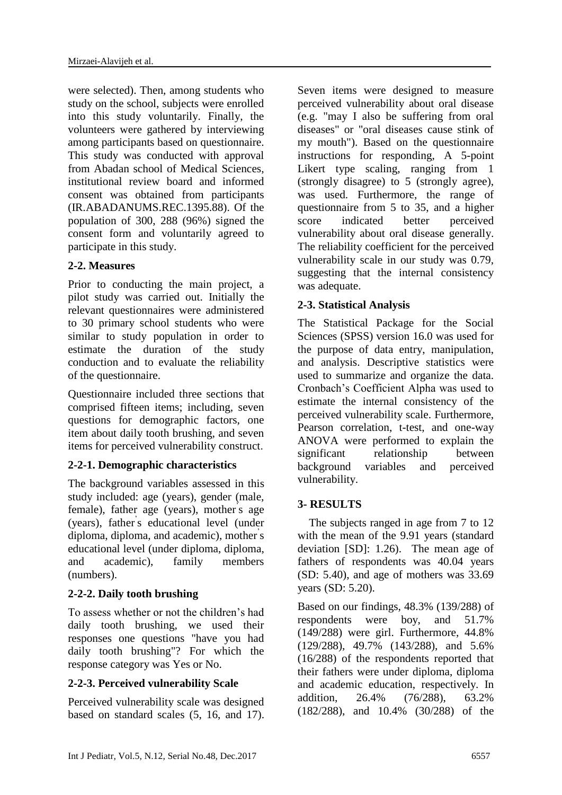were selected). Then, among students who study on the school, subjects were enrolled into this study voluntarily. Finally, the volunteers were gathered by interviewing among participants based on questionnaire. This study was conducted with approval from Abadan school of Medical Sciences, institutional review board and informed consent was obtained from participants (IR.ABADANUMS.REC.1395.88). Of the population of 300, 288 (96%) signed the consent form and voluntarily agreed to participate in this study.

# **2-2. Measures**

Prior to conducting the main project, a pilot study was carried out. Initially the relevant questionnaires were administered to 30 primary school students who were similar to study population in order to estimate the duration of the study conduction and to evaluate the reliability of the questionnaire.

Questionnaire included three sections that comprised fifteen items; including, seven questions for demographic factors, one item about daily tooth brushing, and seven items for perceived vulnerability construct.

# **2-2-1. Demographic characteristics**

The background variables assessed in this study included: age (years), gender (male, female), father age (years), mother's age (years), father' s educational level (under diploma, diploma, and academic), mother' s educational level (under diploma, diploma, and academic), family members (numbers).

# **2-2-2. Daily tooth brushing**

To assess whether or not the children's had daily tooth brushing, we used their responses one questions "have you had daily tooth brushing"? For which the response category was Yes or No.

# **2-2-3. Perceived vulnerability Scale**

Perceived vulnerability scale was designed based on standard scales (5, 16, and 17).

Seven items were designed to measure perceived vulnerability about oral disease (e.g. "may I also be suffering from oral diseases" or "oral diseases cause stink of my mouth"). Based on the questionnaire instructions for responding, A 5-point Likert type scaling, ranging from 1 (strongly disagree) to 5 (strongly agree), was used. Furthermore, the range of questionnaire from 5 to 35, and a higher score indicated better perceived vulnerability about oral disease generally. The reliability coefficient for the perceived vulnerability scale in our study was 0.79, suggesting that the internal consistency was adequate.

# **2-3. Statistical Analysis**

The Statistical Package for the Social Sciences (SPSS) version 16.0 was used for the purpose of data entry, manipulation, and analysis. Descriptive statistics were used to summarize and organize the data. Cronbach's Coefficient Alpha was used to estimate the internal consistency of the perceived vulnerability scale. Furthermore, Pearson correlation, t-test, and one-way ANOVA were performed to explain the significant relationship between background variables and perceived vulnerability.

# **3- RESULTS**

 The subjects ranged in age from 7 to 12 with the mean of the 9.91 years (standard deviation [SD]: 1.26). The mean age of fathers of respondents was 40.04 years (SD: 5.40), and age of mothers was 33.69 years (SD: 5.20).

Based on our findings, 48.3% (139/288) of respondents were boy, and 51.7% (149/288) were girl. Furthermore, 44.8% (129/288), 49.7% (143/288), and 5.6% (16/288) of the respondents reported that their fathers were under diploma, diploma and academic education, respectively. In addition, 26.4% (76/288), 63.2% (182/288), and 10.4% (30/288) of the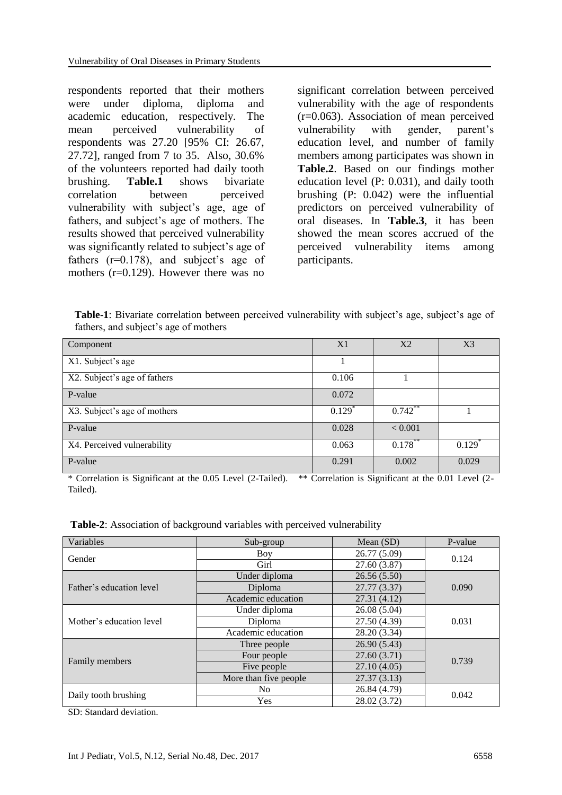respondents reported that their mothers were under diploma, diploma and academic education, respectively. The mean perceived vulnerability of respondents was 27.20 [95% CI: 26.67, 27.72], ranged from 7 to 35. Also, 30.6% of the volunteers reported had daily tooth brushing. **Table.1** shows bivariate correlation between perceived vulnerability with subject's age, age of fathers, and subject's age of mothers. The results showed that perceived vulnerability was significantly related to subject's age of fathers (r=0.178), and subject's age of mothers (r=0.129). However there was no

significant correlation between perceived vulnerability with the age of respondents (r=0.063). Association of mean perceived vulnerability with gender, parent's education level, and number of family members among participates was shown in **Table.2**. Based on our findings mother education level (P: 0.031), and daily tooth brushing (P: 0.042) were the influential predictors on perceived vulnerability of oral diseases. In **Table.3**, it has been showed the mean scores accrued of the perceived vulnerability items among participants.

**Table-1**: Bivariate correlation between perceived vulnerability with subject's age, subject's age of fathers, and subject's age of mothers

| Component                    | X1                   | X <sub>2</sub> | X <sub>3</sub> |
|------------------------------|----------------------|----------------|----------------|
| X1. Subject's age            |                      |                |                |
| X2. Subject's age of fathers | 0.106                |                |                |
| P-value                      | 0.072                |                |                |
| X3. Subject's age of mothers | $0.129$ <sup>*</sup> | $0.742$ **     |                |
| P-value                      | 0.028                | < 0.001        |                |
| X4. Perceived vulnerability  | 0.063                | 0.178          | 0.129          |
| P-value                      | 0.291                | 0.002          | 0.029          |

\* Correlation is Significant at the 0.05 Level (2-Tailed). \*\* Correlation is Significant at the 0.01 Level (2- Tailed).

**Table-2**: Association of background variables with perceived vulnerability

| Variables                | Sub-group                  | Mean $(SD)$  | P-value |  |
|--------------------------|----------------------------|--------------|---------|--|
| Gender                   | Boy                        | 26.77 (5.09) | 0.124   |  |
|                          | Girl                       | 27.60 (3.87) |         |  |
| Father's education level | Under diploma              | 26.56(5.50)  |         |  |
|                          | Diploma                    | 27.77 (3.37) |         |  |
|                          | Academic education         | 27.31 (4.12) |         |  |
| Mother's education level | Under diploma              | 26.08(5.04)  |         |  |
|                          | Diploma                    | 27.50 (4.39) |         |  |
|                          | Academic education         | 28.20 (3.34) |         |  |
| Family members           | Three people               | 26.90 (5.43) |         |  |
|                          | 27.60(3.71)<br>Four people |              | 0.739   |  |
|                          | Five people                | 27.10(4.05)  |         |  |
|                          | More than five people      | 27.37(3.13)  |         |  |
| Daily tooth brushing     | No.                        | 26.84 (4.79) | 0.042   |  |
|                          | Yes                        | 28.02 (3.72) |         |  |

SD: Standard deviation.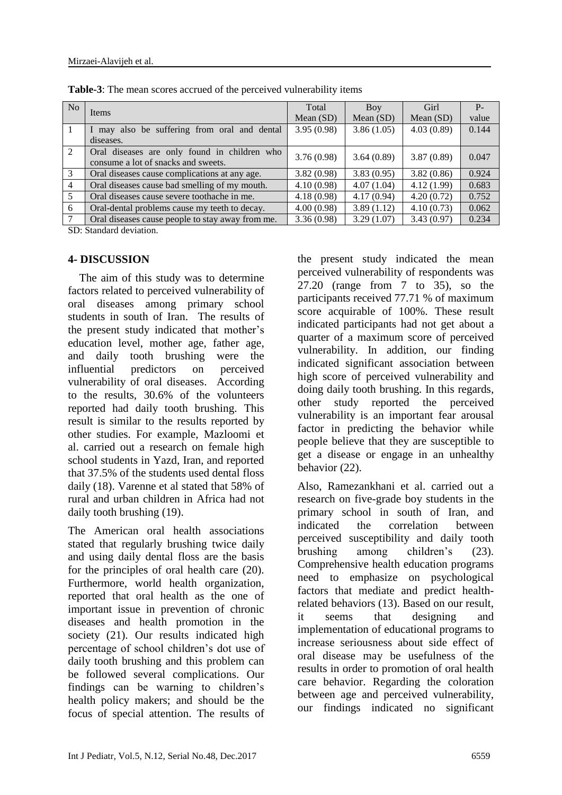| N <sub>o</sub> |                                                                                     | Total       | Boy         | Girl        | $P_{-}$ |
|----------------|-------------------------------------------------------------------------------------|-------------|-------------|-------------|---------|
|                | Items                                                                               | Mean $(SD)$ | Mean $(SD)$ | Mean $(SD)$ | value   |
|                | I may also be suffering from oral and dental                                        | 3.95(0.98)  | 3.86(1.05)  | 4.03(0.89)  | 0.144   |
|                | diseases.                                                                           |             |             |             |         |
| 2              | Oral diseases are only found in children who<br>consume a lot of snacks and sweets. | 3.76(0.98)  | 3.64(0.89)  | 3.87(0.89)  | 0.047   |
| 3              | Oral diseases cause complications at any age.                                       | 3.82(0.98)  | 3.83(0.95)  | 3.82(0.86)  | 0.924   |
| $\overline{4}$ | Oral diseases cause bad smelling of my mouth.                                       | 4.10(0.98)  | 4.07(1.04)  | 4.12(1.99)  | 0.683   |
| 5              | Oral diseases cause severe toothache in me.                                         | 4.18(0.98)  | 4.17(0.94)  | 4.20(0.72)  | 0.752   |
| 6              | Oral-dental problems cause my teeth to decay.                                       | 4.00(0.98)  | 3.89(1.12)  | 4.10(0.73)  | 0.062   |
| 7              | Oral diseases cause people to stay away from me.                                    | 3.36(0.98)  | 3.29(1.07)  | 3.43(0.97)  | 0.234   |

**Table-3**: The mean scores accrued of the perceived vulnerability items

SD: Standard deviation.

#### **4- DISCUSSION**

 The aim of this study was to determine factors related to perceived vulnerability of oral diseases among primary school students in south of Iran. The results of the present study indicated that mother's education level, mother age, father age, and daily tooth brushing were the influential predictors on perceived vulnerability of oral diseases. According to the results, 30.6% of the volunteers reported had daily tooth brushing. This result is similar to the results reported by other studies. For example, Mazloomi et al. carried out a research on female high school students in Yazd, Iran, and reported that 37.5% of the students used dental floss daily (18). Varenne et al stated that 58% of rural and urban children in Africa had not daily tooth brushing (19).

The American oral health associations stated that regularly brushing twice daily and using daily dental floss are the basis for the principles of oral health care (20). Furthermore, world health organization, reported that oral health as the one of important issue in prevention of chronic diseases and health promotion in the society (21). Our results indicated high percentage of school children's dot use of daily tooth brushing and this problem can be followed several complications. Our findings can be warning to children's health policy makers; and should be the focus of special attention. The results of the present study indicated the mean perceived vulnerability of respondents was 27.20 (range from 7 to 35), so the participants received 77.71 % of maximum score acquirable of 100%. These result indicated participants had not get about a quarter of a maximum score of perceived vulnerability. In addition, our finding indicated significant association between high score of perceived vulnerability and doing daily tooth brushing. In this regards, other study reported the perceived vulnerability is an important fear arousal factor in predicting the behavior while people believe that they are susceptible to get a disease or engage in an unhealthy behavior (22).

Also, Ramezankhani et al. carried out a research on five-grade boy students in the primary school in south of Iran, and indicated the correlation between perceived susceptibility and daily tooth brushing among children's (23). Comprehensive health education programs need to emphasize on psychological factors that mediate and predict healthrelated behaviors (13). Based on our result, it seems that designing and implementation of educational programs to increase seriousness about side effect of oral disease may be usefulness of the results in order to promotion of oral health care behavior. Regarding the coloration between age and perceived vulnerability, our findings indicated no significant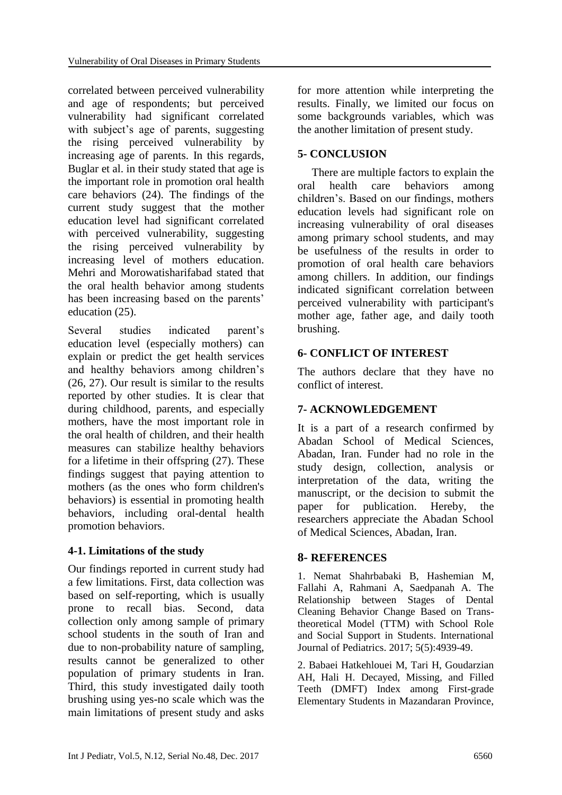correlated between perceived vulnerability and age of respondents; but perceived vulnerability had significant correlated with subject's age of parents, suggesting the rising perceived vulnerability by increasing age of parents. In this regards, Buglar et al. in their study stated that age is the important role in promotion oral health care behaviors (24). The findings of the current study suggest that the mother education level had significant correlated with perceived vulnerability, suggesting the rising perceived vulnerability by increasing level of mothers education. Mehri and Morowatisharifabad stated that the oral health behavior among students has been increasing based on the parents' education (25).

Several studies indicated parent's education level (especially mothers) can explain or predict the get health services and healthy behaviors among children's (26, 27). Our result is similar to the results reported by other studies. It is clear that during childhood, parents, and especially mothers, have the most important role in the oral health of children, and their health measures can stabilize healthy behaviors for a lifetime in their offspring (27). These findings suggest that paying attention to mothers (as the ones who form children's behaviors) is essential in promoting health behaviors, including oral-dental health promotion behaviors.

# **4-1. Limitations of the study**

Our findings reported in current study had a few limitations. First, data collection was based on self-reporting, which is usually prone to recall bias. Second, data collection only among sample of primary school students in the south of Iran and due to non-probability nature of sampling, results cannot be generalized to other population of primary students in Iran. Third, this study investigated daily tooth brushing using yes-no scale which was the main limitations of present study and asks

for more attention while interpreting the results. Finally, we limited our focus on some backgrounds variables, which was the another limitation of present study.

# **5- CONCLUSION**

 There are multiple factors to explain the oral health care behaviors among children's. Based on our findings, mothers education levels had significant role on increasing vulnerability of oral diseases among primary school students, and may be usefulness of the results in order to promotion of oral health care behaviors among chillers. In addition, our findings indicated significant correlation between perceived vulnerability with participant's mother age, father age, and daily tooth brushing.

#### **6- CONFLICT OF INTEREST**

The authors declare that they have no conflict of interest.

# **7- ACKNOWLEDGEMENT**

It is a part of a research confirmed by Abadan School of Medical Sciences, Abadan, Iran. Funder had no role in the study design, collection, analysis or interpretation of the data, writing the manuscript, or the decision to submit the paper for publication. Hereby, the researchers appreciate the Abadan School of Medical Sciences, Abadan, Iran.

# **8- REFERENCES**

1. Nemat Shahrbabaki B, Hashemian M, Fallahi A, Rahmani A, Saedpanah A. The Relationship between Stages of Dental Cleaning Behavior Change Based on Transtheoretical Model (TTM) with School Role and Social Support in Students. International Journal of Pediatrics. 2017; 5(5):4939-49.

2. Babaei Hatkehlouei M, Tari H, Goudarzian AH, Hali H. Decayed, Missing, and Filled Teeth (DMFT) Index among First-grade Elementary Students in Mazandaran Province,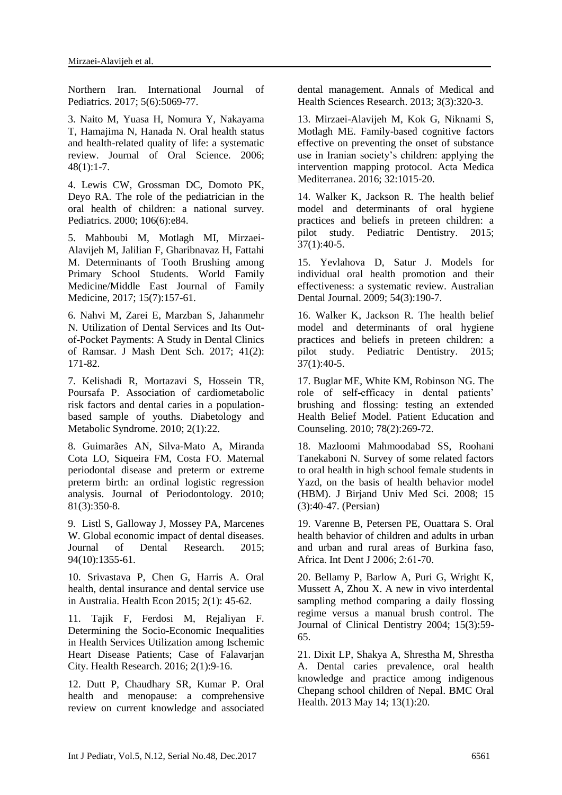Northern Iran. International Journal of Pediatrics. 2017; 5(6):5069-77.

3. Naito M, Yuasa H, Nomura Y, Nakayama T, Hamajima N, Hanada N. Oral health status and health-related quality of life: a systematic review. Journal of Oral Science. 2006; 48(1):1-7.

4. Lewis CW, Grossman DC, Domoto PK, Deyo RA. The role of the pediatrician in the oral health of children: a national survey. Pediatrics. 2000; 106(6):e84.

5. Mahboubi M, Motlagh MI, Mirzaei-Alavijeh M, Jalilian F, Gharibnavaz H, Fattahi M. Determinants of Tooth Brushing among Primary School Students. World Family Medicine/Middle East Journal of Family Medicine, 2017; 15(7):157-61.

6. Nahvi M, Zarei E, Marzban S, Jahanmehr N. Utilization of Dental Services and Its Outof-Pocket Payments: A Study in Dental Clinics of Ramsar. J Mash Dent Sch. 2017; 41(2): 171-82.

7. Kelishadi R, Mortazavi S, Hossein TR, Poursafa P. Association of cardiometabolic risk factors and dental caries in a populationbased sample of youths. Diabetology and Metabolic Syndrome. 2010; 2(1):22.

8. Guimarães AN, Silva-Mato A, Miranda Cota LO, Siqueira FM, Costa FO. Maternal periodontal disease and preterm or extreme preterm birth: an ordinal logistic regression analysis. Journal of Periodontology. 2010; 81(3):350-8.

9. Listl S, Galloway J, Mossey PA, Marcenes W. Global economic impact of dental diseases. Journal of Dental Research. 2015; 94(10):1355-61.

10. Srivastava P, Chen G, Harris A. Oral health, dental insurance and dental service use in Australia. Health Econ 2015; 2(1): 45-62.

11. Tajik F, Ferdosi M, Rejaliyan F. Determining the Socio-Economic Inequalities in Health Services Utilization among Ischemic Heart Disease Patients; Case of Falavarjan City. Health Research. 2016; 2(1):9-16.

12. Dutt P, Chaudhary SR, Kumar P. Oral health and menopause: a comprehensive review on current knowledge and associated dental management. Annals of Medical and Health Sciences Research. 2013; 3(3):320-3.

13. Mirzaei-Alavijeh M, Kok G, Niknami S, Motlagh ME. Family-based cognitive factors effective on preventing the onset of substance use in Iranian society's children: applying the intervention mapping protocol. Acta Medica Mediterranea. 2016; 32:1015-20.

14. Walker K, Jackson R. The health belief model and determinants of oral hygiene practices and beliefs in preteen children: a pilot study. Pediatric Dentistry. 2015; 37(1):40-5.

15. Yevlahova D, Satur J. Models for individual oral health promotion and their effectiveness: a systematic review. Australian Dental Journal. 2009; 54(3):190-7.

16. Walker K, Jackson R. The health belief model and determinants of oral hygiene practices and beliefs in preteen children: a pilot study. Pediatric Dentistry. 2015; 37(1):40-5.

17. Buglar ME, White KM, Robinson NG. The role of self-efficacy in dental patients' brushing and flossing: testing an extended Health Belief Model. Patient Education and Counseling. 2010; 78(2):269-72.

18. Mazloomi Mahmoodabad SS, Roohani Tanekaboni N. Survey of some related factors to oral health in high school female students in Yazd, on the basis of health behavior model (HBM). J Birjand Univ Med Sci. 2008; 15 (3):40-47. (Persian)

19. Varenne B, Petersen PE, Ouattara S. Oral health behavior of children and adults in urban and urban and rural areas of Burkina faso, Africa. Int Dent J 2006; 2:61-70.

20. Bellamy P, Barlow A, Puri G, Wright K, Mussett A, Zhou X. A new in vivo interdental sampling method comparing a daily flossing regime versus a manual brush control. The Journal of Clinical Dentistry 2004; 15(3):59- 65.

21. Dixit LP, Shakya A, Shrestha M, Shrestha A. Dental caries prevalence, oral health knowledge and practice among indigenous Chepang school children of Nepal. BMC Oral Health. 2013 May 14; 13(1):20.